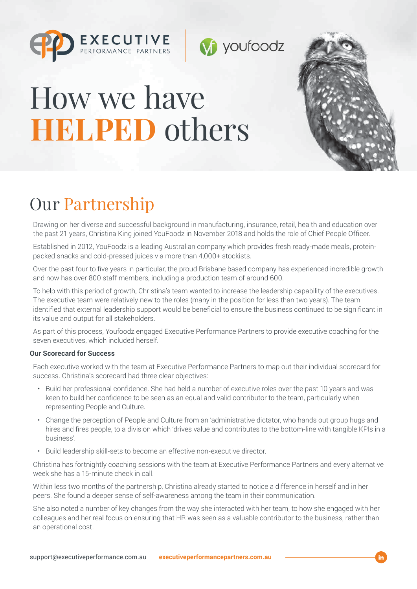





## Our Partnership

Drawing on her diverse and successful background in manufacturing, insurance, retail, health and education over the past 21 years, Christina King joined YouFoodz in November 2018 and holds the role of Chief People Officer.

**V** youfoodz

Established in 2012, YouFoodz is a leading Australian company which provides fresh ready-made meals, proteinpacked snacks and cold-pressed juices via more than 4,000+ stockists.

Over the past four to five years in particular, the proud Brisbane based company has experienced incredible growth and now has over 800 staff members, including a production team of around 600.

To help with this period of growth, Christina's team wanted to increase the leadership capability of the executives. The executive team were relatively new to the roles (many in the position for less than two years). The team identified that external leadership support would be beneficial to ensure the business continued to be significant in its value and output for all stakeholders.

As part of this process, Youfoodz engaged Executive Performance Partners to provide executive coaching for the seven executives, which included herself.

## **Our Scorecard for Success**

Each executive worked with the team at Executive Performance Partners to map out their individual scorecard for success. Christina's scorecard had three clear objectives:

- Build her professional confidence. She had held a number of executive roles over the past 10 years and was keen to build her confidence to be seen as an equal and valid contributor to the team, particularly when representing People and Culture.
- Change the perception of People and Culture from an 'administrative dictator, who hands out group hugs and hires and fires people, to a division which 'drives value and contributes to the bottom-line with tangible KPIs in a business'.
- Build leadership skill-sets to become an effective non-executive director.

Christina has fortnightly coaching sessions with the team at Executive Performance Partners and every alternative week she has a 15-minute check in call.

Within less two months of the partnership, Christina already started to notice a difference in herself and in her peers. She found a deeper sense of self-awareness among the team in their communication.

She also noted a number of key changes from the way she interacted with her team, to how she engaged with her colleagues and her real focus on ensuring that HR was seen as a valuable contributor to the business, rather than an operational cost.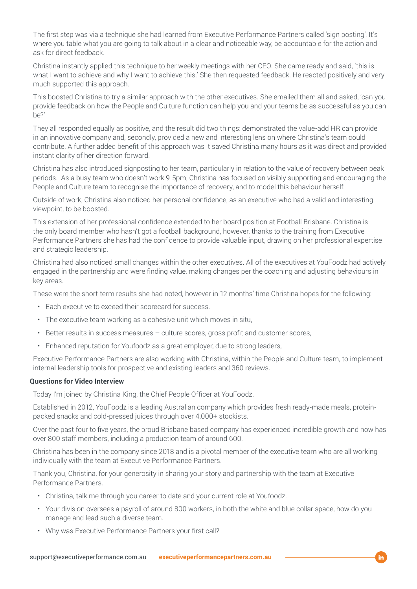The first step was via a technique she had learned from Executive Performance Partners called 'sign posting'. It's where you table what you are going to talk about in a clear and noticeable way, be accountable for the action and ask for direct feedback.

Christina instantly applied this technique to her weekly meetings with her CEO. She came ready and said, 'this is what I want to achieve and why I want to achieve this.' She then requested feedback. He reacted positively and very much supported this approach.

This boosted Christina to try a similar approach with the other executives. She emailed them all and asked, 'can you provide feedback on how the People and Culture function can help you and your teams be as successful as you can be?'

They all responded equally as positive, and the result did two things: demonstrated the value-add HR can provide in an innovative company and, secondly, provided a new and interesting lens on where Christina's team could contribute. A further added benefit of this approach was it saved Christina many hours as it was direct and provided instant clarity of her direction forward.

Christina has also introduced signposting to her team, particularly in relation to the value of recovery between peak periods. As a busy team who doesn't work 9-5pm, Christina has focused on visibly supporting and encouraging the People and Culture team to recognise the importance of recovery, and to model this behaviour herself.

Outside of work, Christina also noticed her personal confidence, as an executive who had a valid and interesting viewpoint, to be boosted.

This extension of her professional confidence extended to her board position at Football Brisbane. Christina is the only board member who hasn't got a football background, however, thanks to the training from Executive Performance Partners she has had the confidence to provide valuable input, drawing on her professional expertise and strategic leadership.

Christina had also noticed small changes within the other executives. All of the executives at YouFoodz had actively engaged in the partnership and were finding value, making changes per the coaching and adjusting behaviours in key areas.

These were the short-term results she had noted, however in 12 months' time Christina hopes for the following:

- Each executive to exceed their scorecard for success.
- The executive team working as a cohesive unit which moves in situ,
- Better results in success measures culture scores, gross profit and customer scores,
- Enhanced reputation for Youfoodz as a great employer, due to strong leaders,

Executive Performance Partners are also working with Christina, within the People and Culture team, to implement internal leadership tools for prospective and existing leaders and 360 reviews.

## **Questions for Video Interview**

Today I'm joined by Christina King, the Chief People Officer at YouFoodz.

Established in 2012, YouFoodz is a leading Australian company which provides fresh ready-made meals, proteinpacked snacks and cold-pressed juices through over 4,000+ stockists.

Over the past four to five years, the proud Brisbane based company has experienced incredible growth and now has over 800 staff members, including a production team of around 600.

Christina has been in the company since 2018 and is a pivotal member of the executive team who are all working individually with the team at Executive Performance Partners.

Thank you, Christina, for your generosity in sharing your story and partnership with the team at Executive Performance Partners.

- Christina, talk me through you career to date and your current role at Youfoodz.
- Your division oversees a payroll of around 800 workers, in both the white and blue collar space, how do you manage and lead such a diverse team.
- Why was Executive Performance Partners your first call?